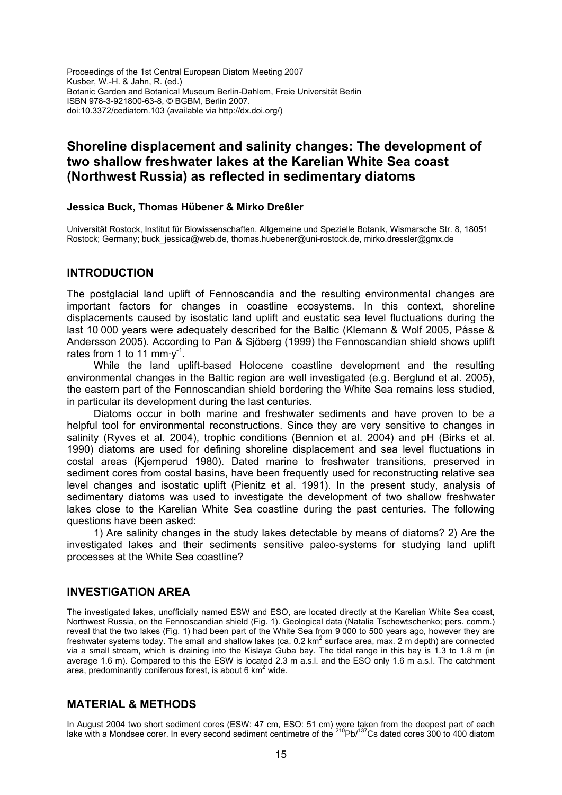Proceedings of the 1st Central European Diatom Meeting 2007 Kusber, W.-H. & Jahn, R. (ed.) Botanic Garden and Botanical Museum Berlin-Dahlem, Freie Universität Berlin ISBN 978-3-921800-63-8, © BGBM, Berlin 2007. doi:10.3372/cediatom.103 (available via http://dx.doi.org/)

# **Shoreline displacement and salinity changes: The development of two shallow freshwater lakes at the Karelian White Sea coast (Northwest Russia) as reflected in sedimentary diatoms**

#### **Jessica Buck, Thomas Hübener & Mirko Dreßler**

Universität Rostock, Institut für Biowissenschaften, Allgemeine und Spezielle Botanik, Wismarsche Str. 8, 18051 Rostock; Germany; buck\_jessica@web.de, thomas.huebener@uni-rostock.de, mirko.dressler@gmx.de

#### **INTRODUCTION**

The postglacial land uplift of Fennoscandia and the resulting environmental changes are important factors for changes in coastline ecosystems. In this context, shoreline displacements caused by isostatic land uplift and eustatic sea level fluctuations during the last 10 000 years were adequately described for the Baltic (Klemann & Wolf 2005, Påsse & Andersson 2005). According to Pan & Sjöberg (1999) the Fennoscandian shield shows uplift rates from 1 to 11 mm $\cdot$ v<sup>-1</sup>.

While the land uplift-based Holocene coastline development and the resulting environmental changes in the Baltic region are well investigated (e.g. Berglund et al. 2005), the eastern part of the Fennoscandian shield bordering the White Sea remains less studied, in particular its development during the last centuries.

Diatoms occur in both marine and freshwater sediments and have proven to be a helpful tool for environmental reconstructions. Since they are very sensitive to changes in salinity (Ryves et al. 2004), trophic conditions (Bennion et al. 2004) and pH (Birks et al. 1990) diatoms are used for defining shoreline displacement and sea level fluctuations in costal areas (Kjemperud 1980). Dated marine to freshwater transitions, preserved in sediment cores from costal basins, have been frequently used for reconstructing relative sea level changes and isostatic uplift (Pienitz et al. 1991). In the present study, analysis of sedimentary diatoms was used to investigate the development of two shallow freshwater lakes close to the Karelian White Sea coastline during the past centuries. The following questions have been asked:

1) Are salinity changes in the study lakes detectable by means of diatoms? 2) Are the investigated lakes and their sediments sensitive paleo-systems for studying land uplift processes at the White Sea coastline?

## **INVESTIGATION AREA**

The investigated lakes, unofficially named ESW and ESO, are located directly at the Karelian White Sea coast, Northwest Russia, on the Fennoscandian shield (Fig. 1). Geological data (Natalia Tschewtschenko; pers. comm.) reveal that the two lakes (Fig. 1) had been part of the White Sea from 9 000 to 500 years ago, however they are freshwater systems today. The small and shallow lakes (ca. 0.2 km<sup>2</sup> surface area, max. 2 m depth) are connected via a small stream, which is draining into the Kislaya Guba bay. The tidal range in this bay is 1.3 to 1.8 m (in average 1.6 m). Compared to this the ESW is located 2.3 m a.s.l. and the ESO only 1.6 m a.s.l. The catchment area, predominantly coniferous forest, is about 6  $km^2$  wide.

## **MATERIAL & METHODS**

In August 2004 two short sediment cores (ESW: 47 cm, ESO: 51 cm) were taken from the deepest part of each lake with a Mondsee corer. In every second sediment centimetre of the <sup>210</sup>Pb/<sup>137</sup>Cs dated cores 300 to 400 diatom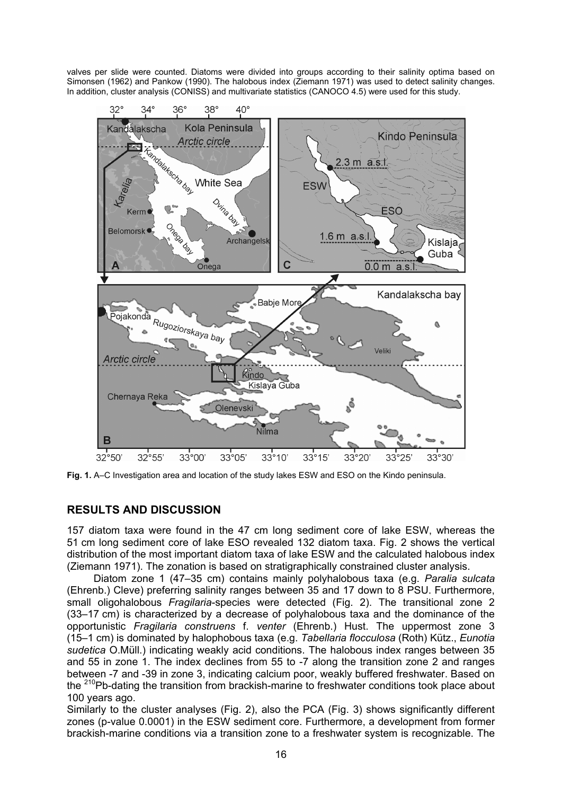valves per slide were counted. Diatoms were divided into groups according to their salinity optima based on Simonsen (1962) and Pankow (1990). The halobous index (Ziemann 1971) was used to detect salinity changes. In addition, cluster analysis (CONISS) and multivariate statistics (CANOCO 4.5) were used for this study.



**Fig. 1.** A–C Investigation area and location of the study lakes ESW and ESO on the Kindo peninsula.

## **RESULTS AND DISCUSSION**

157 diatom taxa were found in the 47 cm long sediment core of lake ESW, whereas the 51 cm long sediment core of lake ESO revealed 132 diatom taxa. Fig. 2 shows the vertical distribution of the most important diatom taxa of lake ESW and the calculated halobous index (Ziemann 1971). The zonation is based on stratigraphically constrained cluster analysis.

Diatom zone 1 (47–35 cm) contains mainly polyhalobous taxa (e.g. *Paralia sulcata*  (Ehrenb.) Cleve) preferring salinity ranges between 35 and 17 down to 8 PSU. Furthermore, small oligohalobous *Fragilaria*-species were detected (Fig. 2). The transitional zone 2 (33–17 cm) is characterized by a decrease of polyhalobous taxa and the dominance of the opportunistic *Fragilaria construens* f. *venter* (Ehrenb.) Hust. The uppermost zone 3 (15–1 cm) is dominated by halophobous taxa (e.g. *Tabellaria flocculosa* (Roth) Kütz., *Eunotia sudetica* O.Müll.) indicating weakly acid conditions. The halobous index ranges between 35 and 55 in zone 1. The index declines from 55 to -7 along the transition zone 2 and ranges between -7 and -39 in zone 3, indicating calcium poor, weakly buffered freshwater. Based on the <sup>210</sup>Pb-dating the transition from brackish-marine to freshwater conditions took place about 100 years ago.

Similarly to the cluster analyses (Fig. 2), also the PCA (Fig. 3) shows significantly different zones (p-value 0.0001) in the ESW sediment core. Furthermore, a development from former brackish-marine conditions via a transition zone to a freshwater system is recognizable. The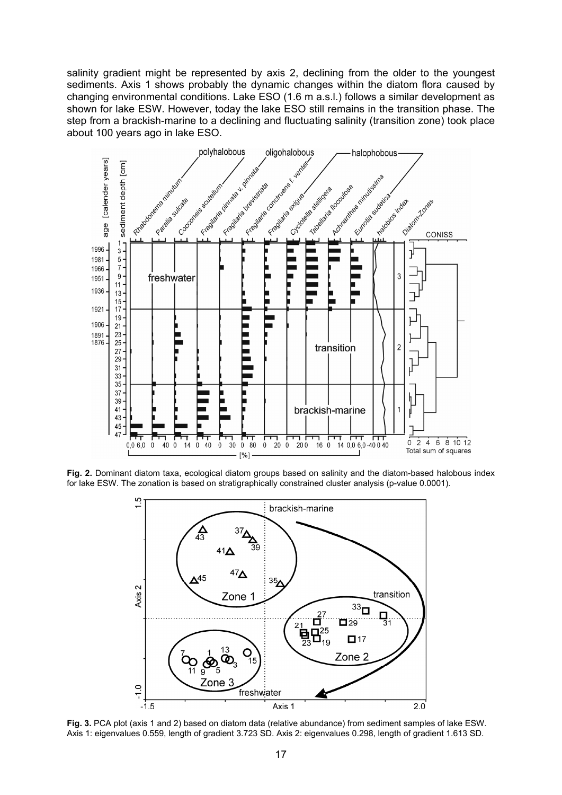salinity gradient might be represented by axis 2, declining from the older to the youngest sediments. Axis 1 shows probably the dynamic changes within the diatom flora caused by changing environmental conditions. Lake ESO (1.6 m a.s.l.) follows a similar development as shown for lake ESW. However, today the lake ESO still remains in the transition phase. The step from a brackish-marine to a declining and fluctuating salinity (transition zone) took place about 100 years ago in lake ESO.



**Fig. 2.** Dominant diatom taxa, ecological diatom groups based on salinity and the diatom-based halobous index for lake ESW. The zonation is based on stratigraphically constrained cluster analysis (p-value 0.0001).



**Fig. 3.** PCA plot (axis 1 and 2) based on diatom data (relative abundance) from sediment samples of lake ESW. Axis 1: eigenvalues 0.559, length of gradient 3.723 SD. Axis 2: eigenvalues 0.298, length of gradient 1.613 SD.